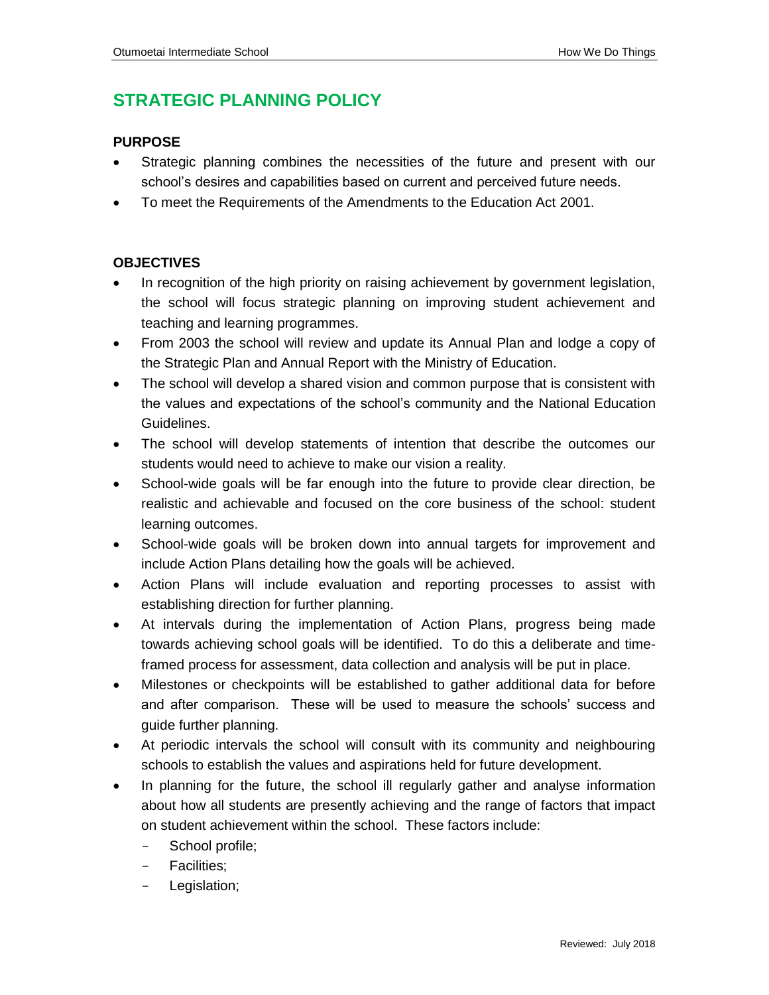## **STRATEGIC PLANNING POLICY**

## **PURPOSE**

- Strategic planning combines the necessities of the future and present with our school's desires and capabilities based on current and perceived future needs.
- To meet the Requirements of the Amendments to the Education Act 2001.

## **OBJECTIVES**

- In recognition of the high priority on raising achievement by government legislation, the school will focus strategic planning on improving student achievement and teaching and learning programmes.
- From 2003 the school will review and update its Annual Plan and lodge a copy of the Strategic Plan and Annual Report with the Ministry of Education.
- The school will develop a shared vision and common purpose that is consistent with the values and expectations of the school's community and the National Education Guidelines.
- The school will develop statements of intention that describe the outcomes our students would need to achieve to make our vision a reality.
- School-wide goals will be far enough into the future to provide clear direction, be realistic and achievable and focused on the core business of the school: student learning outcomes.
- School-wide goals will be broken down into annual targets for improvement and include Action Plans detailing how the goals will be achieved.
- Action Plans will include evaluation and reporting processes to assist with establishing direction for further planning.
- At intervals during the implementation of Action Plans, progress being made towards achieving school goals will be identified. To do this a deliberate and timeframed process for assessment, data collection and analysis will be put in place.
- Milestones or checkpoints will be established to gather additional data for before and after comparison. These will be used to measure the schools' success and guide further planning.
- At periodic intervals the school will consult with its community and neighbouring schools to establish the values and aspirations held for future development.
- In planning for the future, the school ill regularly gather and analyse information about how all students are presently achieving and the range of factors that impact on student achievement within the school. These factors include:
	- School profile;
	- Facilities:
	- Legislation;